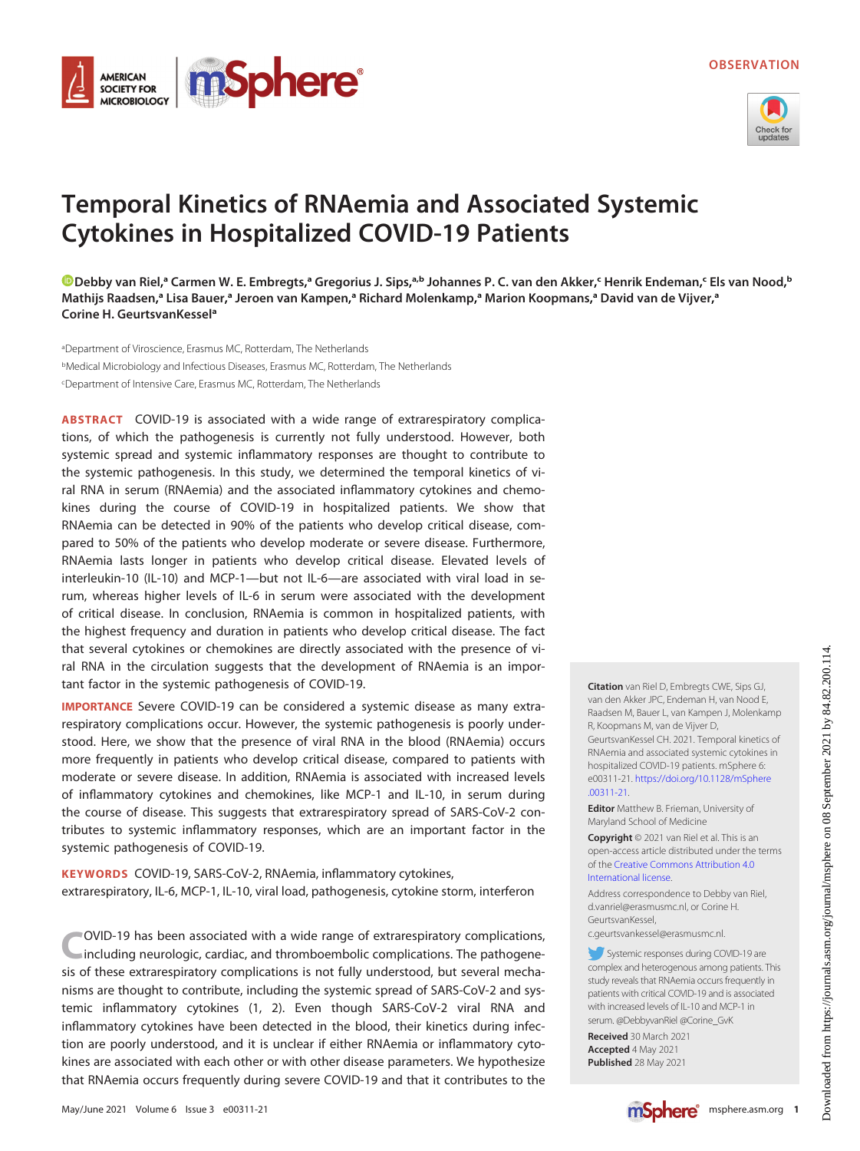



# Temporal Kinetics of RNAemia and Associated Systemic Cytokines in Hospitalized COVID-19 Patients

[Debby van Riel](https://orcid.org/0000-0001-9753-3564),ª Carmen W. E. Embregts,ª Gregorius J. Sips,ª.b Johannes P. C. van den Akker,< Henrik Endeman,< Els van Nood,b Mathijs Raadsen,ª Lisa Bauer,ª Jeroen van Kampen,ª Richard Molenkamp,ª Marion Koopmans,ª David van de Vijver,ª Corine H. GeurtsvanKessela

aDepartment of Viroscience, Erasmus MC, Rotterdam, The Netherlands bMedical Microbiology and Infectious Diseases, Erasmus MC, Rotterdam, The Netherlands cDepartment of Intensive Care, Erasmus MC, Rotterdam, The Netherlands

ABSTRACT COVID-19 is associated with a wide range of extrarespiratory complications, of which the pathogenesis is currently not fully understood. However, both systemic spread and systemic inflammatory responses are thought to contribute to the systemic pathogenesis. In this study, we determined the temporal kinetics of viral RNA in serum (RNAemia) and the associated inflammatory cytokines and chemokines during the course of COVID-19 in hospitalized patients. We show that RNAemia can be detected in 90% of the patients who develop critical disease, compared to 50% of the patients who develop moderate or severe disease. Furthermore, RNAemia lasts longer in patients who develop critical disease. Elevated levels of interleukin-10 (IL-10) and MCP-1—but not IL-6—are associated with viral load in serum, whereas higher levels of IL-6 in serum were associated with the development of critical disease. In conclusion, RNAemia is common in hospitalized patients, with the highest frequency and duration in patients who develop critical disease. The fact that several cytokines or chemokines are directly associated with the presence of viral RNA in the circulation suggests that the development of RNAemia is an important factor in the systemic pathogenesis of COVID-19.

IMPORTANCE Severe COVID-19 can be considered a systemic disease as many extrarespiratory complications occur. However, the systemic pathogenesis is poorly understood. Here, we show that the presence of viral RNA in the blood (RNAemia) occurs more frequently in patients who develop critical disease, compared to patients with moderate or severe disease. In addition, RNAemia is associated with increased levels of inflammatory cytokines and chemokines, like MCP-1 and IL-10, in serum during the course of disease. This suggests that extrarespiratory spread of SARS-CoV-2 contributes to systemic inflammatory responses, which are an important factor in the systemic pathogenesis of COVID-19.

KEYWORDS COVID-19, SARS-CoV-2, RNAemia, inflammatory cytokines, extrarespiratory, IL-6, MCP-1, IL-10, viral load, pathogenesis, cytokine storm, interferon

COVID-19 has been associated with a wide range of extrarespiratory complications, including neurologic, cardiac, and thromboembolic complications. The pathogenesis of these extrarespiratory complications is not fully understood, but several mechanisms are thought to contribute, including the systemic spread of SARS-CoV-2 and systemic inflammatory cytokines ([1](#page-5-0), [2\)](#page-5-1). Even though SARS-CoV-2 viral RNA and inflammatory cytokines have been detected in the blood, their kinetics during infection are poorly understood, and it is unclear if either RNAemia or inflammatory cytokines are associated with each other or with other disease parameters. We hypothesize that RNAemia occurs frequently during severe COVID-19 and that it contributes to the

[.00311-21](https://doi.org/10.1128/mSphere.00311-21). Editor Matthew B. Frieman, University of Maryland School of Medicine Copyright © 2021 van Riel et al. This is an open-access article distributed under the terms of the [Creative Commons Attribution 4.0](https://creativecommons.org/licenses/by/4.0/) [International license](https://creativecommons.org/licenses/by/4.0/).

R, Koopmans M, van de Vijver D,

Address correspondence to Debby van Riel, d.vanriel@erasmusmc.nl, or Corine H. GeurtsvanKessel,

Citation van Riel D, Embregts CWE, Sips GJ, van den Akker JPC, Endeman H, van Nood E, Raadsen M, Bauer L, van Kampen J, Molenkamp

GeurtsvanKessel CH. 2021. Temporal kinetics of RNAemia and associated systemic cytokines in hospitalized COVID-19 patients. mSphere 6: e00311-21. [https://doi.org/10.1128/mSphere](https://doi.org/10.1128/mSphere.00311-21)

c.geurtsvankessel@erasmusmc.nl.

Systemic responses during COVID-19 are complex and heterogenous among patients. This study reveals that RNAemia occurs frequently in patients with critical COVID-19 and is associated with increased levels of IL-10 and MCP-1 in serum. @DebbyvanRiel @Corine\_GvK

Received 30 March 2021 Accepted 4 May 2021 Published 28 May 2021

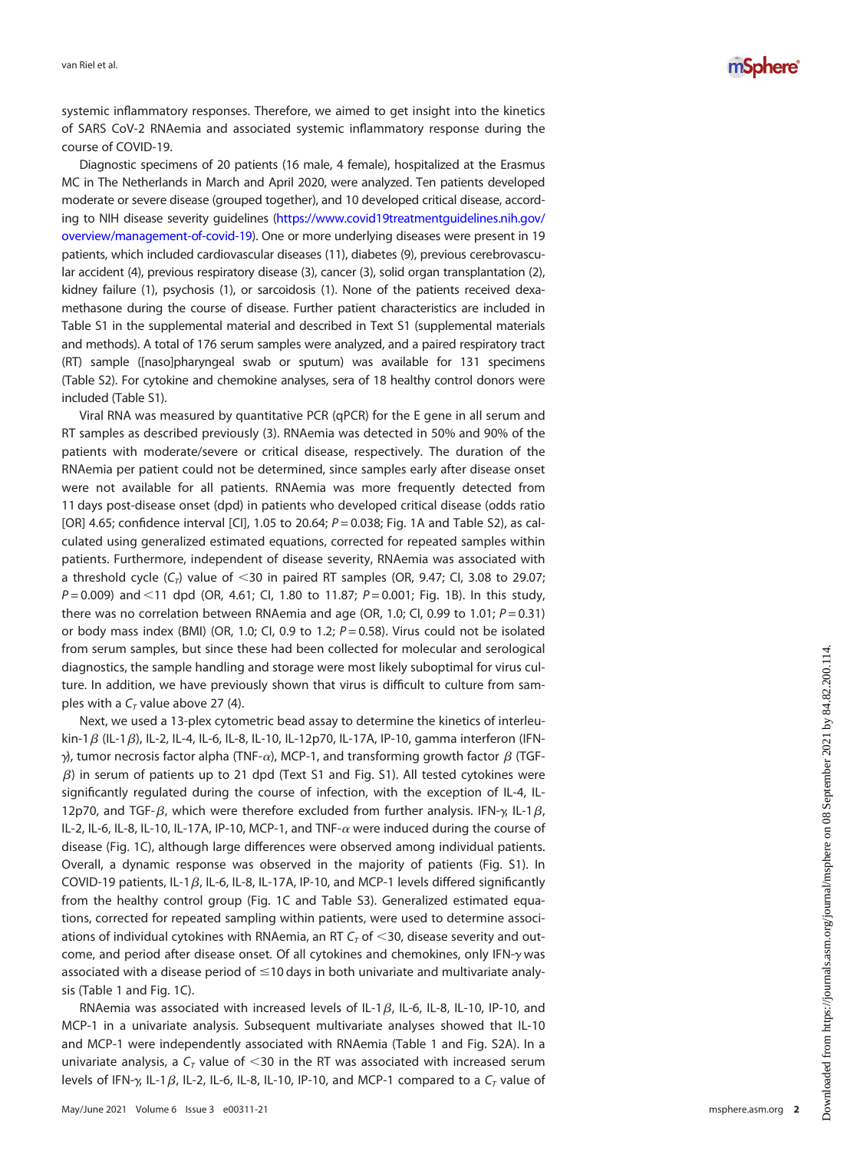

systemic inflammatory responses. Therefore, we aimed to get insight into the kinetics of SARS CoV-2 RNAemia and associated systemic inflammatory response during the course of COVID-19.

Diagnostic specimens of 20 patients (16 male, 4 female), hospitalized at the Erasmus MC in The Netherlands in March and April 2020, were analyzed. Ten patients developed moderate or severe disease (grouped together), and 10 developed critical disease, according to NIH disease severity guidelines [\(https://www.covid19treatmentguidelines.nih.gov/](https://www.covid19treatmentguidelines.nih.gov/overview/management-of-covid-19) [overview/management-of-covid-19](https://www.covid19treatmentguidelines.nih.gov/overview/management-of-covid-19)). One or more underlying diseases were present in 19 patients, which included cardiovascular diseases (11), diabetes (9), previous cerebrovascular accident (4), previous respiratory disease (3), cancer (3), solid organ transplantation (2), kidney failure (1), psychosis (1), or sarcoidosis (1). None of the patients received dexamethasone during the course of disease. Further patient characteristics are included in Table S1 in the supplemental material and described in Text S1 (supplemental materials and methods). A total of 176 serum samples were analyzed, and a paired respiratory tract (RT) sample ([naso]pharyngeal swab or sputum) was available for 131 specimens (Table S2). For cytokine and chemokine analyses, sera of 18 healthy control donors were included (Table S1).

Viral RNA was measured by quantitative PCR (qPCR) for the E gene in all serum and RT samples as described previously [\(3\)](#page-5-2). RNAemia was detected in 50% and 90% of the patients with moderate/severe or critical disease, respectively. The duration of the RNAemia per patient could not be determined, since samples early after disease onset were not available for all patients. RNAemia was more frequently detected from 11 days post-disease onset (dpd) in patients who developed critical disease (odds ratio [OR] 4.65; confidence interval [CI], 1.05 to 20.64;  $P = 0.038$ ; [Fig. 1A](#page-2-0) and Table S2), as calculated using generalized estimated equations, corrected for repeated samples within patients. Furthermore, independent of disease severity, RNAemia was associated with a threshold cycle  $(C_T)$  value of <30 in paired RT samples (OR, 9.47; CI, 3.08 to 29.07;  $P = 0.009$ ) and <11 dpd (OR, 4.61; Cl, 1.80 to 11.87; P = 0.001; [Fig. 1B](#page-2-0)). In this study, there was no correlation between RNAemia and age (OR, 1.0; CI, 0.99 to 1.01;  $P = 0.31$ ) or body mass index (BMI) (OR, 1.0; CI, 0.9 to 1.2;  $P = 0.58$ ). Virus could not be isolated from serum samples, but since these had been collected for molecular and serological diagnostics, the sample handling and storage were most likely suboptimal for virus culture. In addition, we have previously shown that virus is difficult to culture from samples with a  $C<sub>T</sub>$  value above 27 [\(4\)](#page-5-3).

Next, we used a 13-plex cytometric bead assay to determine the kinetics of interleukin-1 $\beta$  (IL-1 $\beta$ ), IL-2, IL-4, IL-6, IL-8, IL-10, IL-12p70, IL-17A, IP-10, gamma interferon (IFN- $\gamma$ ), tumor necrosis factor alpha (TNF- $\alpha$ ), MCP-1, and transforming growth factor  $\beta$  (TGF- $\beta$ ) in serum of patients up to 21 dpd (Text S1 and Fig. S1). All tested cytokines were significantly regulated during the course of infection, with the exception of IL-4, IL-12p70, and TGF- $\beta$ , which were therefore excluded from further analysis. IFN- $\gamma$ , IL-1 $\beta$ , IL-2, IL-6, IL-8, IL-10, IL-17A, IP-10, MCP-1, and TNF- $\alpha$  were induced during the course of disease ([Fig. 1C\)](#page-2-0), although large differences were observed among individual patients. Overall, a dynamic response was observed in the majority of patients (Fig. S1). In COVID-19 patients, IL-1 $\beta$ , IL-6, IL-8, IL-17A, IP-10, and MCP-1 levels differed significantly from the healthy control group ([Fig. 1C](#page-2-0) and Table S3). Generalized estimated equations, corrected for repeated sampling within patients, were used to determine associations of individual cytokines with RNAemia, an RT  $C<sub>T</sub>$  of  $<$ 30, disease severity and outcome, and period after disease onset. Of all cytokines and chemokines, only IFN- $\gamma$  was associated with a disease period of  $\leq$ 10 days in both univariate and multivariate analysis [\(Table 1](#page-3-0) and [Fig. 1C\)](#page-2-0).

RNAemia was associated with increased levels of IL-1 $\beta$ , IL-6, IL-8, IL-10, IP-10, and MCP-1 in a univariate analysis. Subsequent multivariate analyses showed that IL-10 and MCP-1 were independently associated with RNAemia [\(Table 1](#page-3-0) and Fig. S2A). In a univariate analysis, a  $C_T$  value of <30 in the RT was associated with increased serum levels of IFN- $\gamma$ , IL-1 $\beta$ , IL-2, IL-6, IL-8, IL-10, IP-10, and MCP-1 compared to a  $C_T$  value of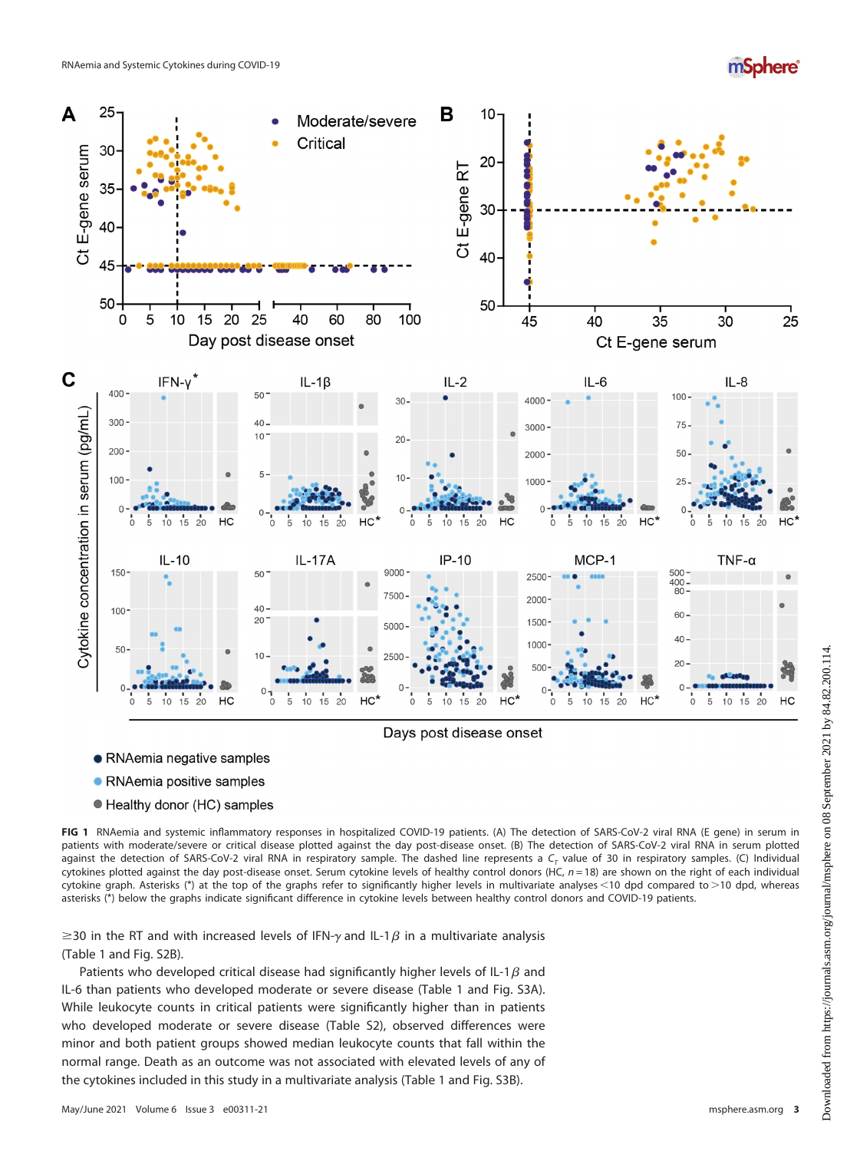# *mSphere*<sup>®</sup>



- RNAemia negative samples
- RNAemia positive samples
- Healthy donor (HC) samples

<span id="page-2-0"></span>FIG 1 RNAemia and systemic inflammatory responses in hospitalized COVID-19 patients. (A) The detection of SARS-CoV-2 viral RNA (E gene) in serum in patients with moderate/severe or critical disease plotted against the day post-disease onset. (B) The detection of SARS-CoV-2 viral RNA in serum plotted against the detection of SARS-CoV-2 viral RNA in respiratory sample. The dashed line represents a  $C<sub>r</sub>$  value of 30 in respiratory samples. (C) Individual cytokines plotted against the day post-disease onset. Serum cytokine levels of healthy control donors (HC,  $n = 18$ ) are shown on the right of each individual cytokine graph. Asterisks (\*) at the top of the graphs refer to significantly higher levels in multivariate analyses <10 dpd compared to >10 dpd, whereas asterisks (\*) below the graphs indicate significant difference in cytokine levels between healthy control donors and COVID-19 patients.

 $\geq$ 30 in the RT and with increased levels of IFN- $\gamma$  and IL-1 $\beta$  in a multivariate analysis ([Table 1](#page-3-0) and Fig. S2B).

Patients who developed critical disease had significantly higher levels of IL-1 $\beta$  and IL-6 than patients who developed moderate or severe disease ([Table 1](#page-3-0) and Fig. S3A). While leukocyte counts in critical patients were significantly higher than in patients who developed moderate or severe disease (Table S2), observed differences were minor and both patient groups showed median leukocyte counts that fall within the normal range. Death as an outcome was not associated with elevated levels of any of the cytokines included in this study in a multivariate analysis [\(Table 1](#page-3-0) and Fig. S3B).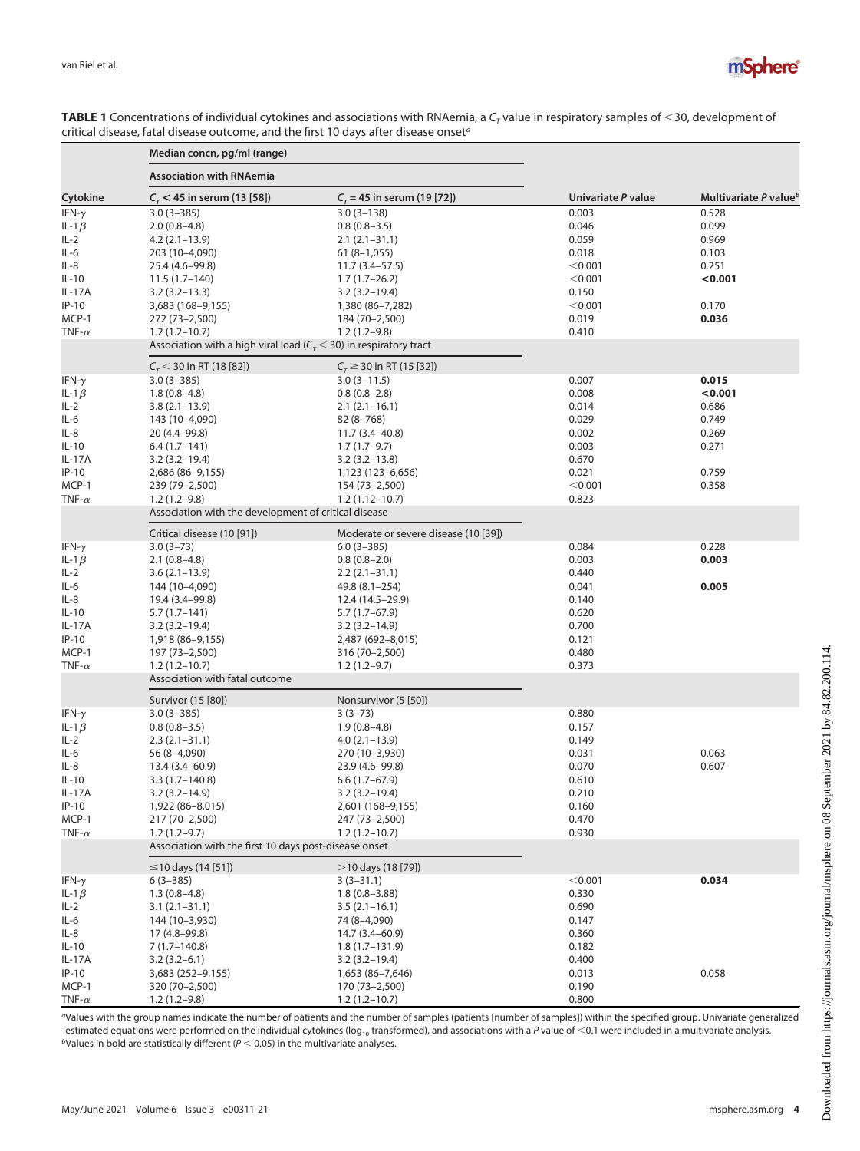

|               | Median concn, pg/ml (range)                                                               |                                    |                    |                                   |
|---------------|-------------------------------------------------------------------------------------------|------------------------------------|--------------------|-----------------------------------|
| Cytokine      | <b>Association with RNAemia</b>                                                           |                                    |                    |                                   |
|               | $C_{\tau}$ < 45 in serum (13 [58])                                                        | $C_{\tau}$ = 45 in serum (19 [72]) | Univariate P value | Multivariate P value <sup>b</sup> |
| IFN- $\gamma$ | $3.0(3 - 385)$                                                                            | $3.0(3 - 138)$                     | 0.003              | 0.528                             |
| IL-1 $\beta$  | $2.0(0.8-4.8)$                                                                            | $0.8(0.8-3.5)$                     | 0.046              | 0.099                             |
| $IL-2$        | $4.2(2.1-13.9)$                                                                           | $2.1(2.1-31.1)$                    | 0.059              | 0.969                             |
| IL-6          | 203 (10-4,090)                                                                            | $61(8-1,055)$                      | 0.018              | 0.103                             |
| IL-8          | 25.4 (4.6–99.8)                                                                           | $11.7(3.4 - 57.5)$                 | < 0.001            | 0.251                             |
| IL-10         | $11.5(1.7-140)$                                                                           | $1.7(1.7-26.2)$                    | < 0.001            | < 0.001                           |
| IL-17A        | $3.2(3.2 - 13.3)$                                                                         | $3.2(3.2 - 19.4)$                  | 0.150              |                                   |
| $IP-10$       | 3,683 (168–9,155)                                                                         | 1,380 (86-7,282)                   | < 0.001            | 0.170                             |
| MCP-1         |                                                                                           | 184 (70-2,500)                     | 0.019              | 0.036                             |
| TNF- $\alpha$ | 272 (73–2,500)                                                                            |                                    |                    |                                   |
|               | $1.2(1.2 - 10.7)$<br>Association with a high viral load ( $Cr$ < 30) in respiratory tract | $1.2(1.2-9.8)$                     | 0.410              |                                   |
|               |                                                                                           |                                    |                    |                                   |
|               | $C_r$ < 30 in RT (18 [82])                                                                | $C_r \geq 30$ in RT (15 [32])      |                    |                                   |
| IFN- $\gamma$ | $3.0(3 - 385)$                                                                            | $3.0(3 - 11.5)$                    | 0.007              | 0.015                             |
| IL-1 $\beta$  | $1.8(0.8-4.8)$                                                                            | $0.8(0.8-2.8)$                     | 0.008              | < 0.001                           |
| $IL-2$        | $3.8(2.1 - 13.9)$                                                                         | $2.1(2.1-16.1)$                    | 0.014              | 0.686                             |
| IL-6          | 143 (10-4,090)                                                                            | $82(8 - 768)$                      | 0.029              | 0.749                             |
| IL-8          | 20 (4.4–99.8)                                                                             | $11.7(3.4 - 40.8)$                 | 0.002              | 0.269                             |
| IL-10         | $6.4(1.7-141)$                                                                            | $1.7(1.7-9.7)$                     | 0.003              | 0.271                             |
| IL-17A        | $3.2(3.2 - 19.4)$                                                                         | $3.2(3.2 - 13.8)$                  | 0.670              |                                   |
| $IP-10$       | 2,686 (86-9,155)                                                                          | 1,123 (123–6,656)                  | 0.021              | 0.759                             |
| MCP-1         | 239 (79–2,500)                                                                            | 154 (73-2,500)                     | < 0.001            | 0.358                             |
| TNF- $\alpha$ | $1.2(1.2 - 9.8)$                                                                          | $1.2(1.12 - 10.7)$                 | 0.823              |                                   |
|               | Association with the development of critical disease                                      |                                    |                    |                                   |
|               | Moderate or severe disease (10 [39])<br>Critical disease (10 [91])                        |                                    |                    |                                   |
| IFN- $\gamma$ | $3.0(3 - 73)$                                                                             | $6.0(3 - 385)$                     | 0.084              | 0.228                             |
| IL-1 $\beta$  | $2.1(0.8-4.8)$                                                                            | $0.8(0.8-2.0)$                     | 0.003              | 0.003                             |
| IL-2          | $3.6(2.1 - 13.9)$                                                                         | $2.2(2.1-31.1)$                    | 0.440              |                                   |
| IL-6          | 144 (10-4,090)                                                                            | 49.8 (8.1–254)                     | 0.041              | 0.005                             |
| IL-8          | 19.4 (3.4–99.8)                                                                           | 12.4 (14.5–29.9)                   | 0.140              |                                   |
|               |                                                                                           |                                    | 0.620              |                                   |
| IL-10         | $5.7(1.7-141)$                                                                            | $5.7(1.7-67.9)$                    |                    |                                   |
| IL-17A        | $3.2(3.2 - 19.4)$                                                                         | $3.2(3.2 - 14.9)$                  | 0.700              |                                   |
| $IP-10$       | 1,918 (86–9,155)                                                                          | 2,487 (692-8,015)                  | 0.121              |                                   |
| MCP-1         | 197 (73–2,500)                                                                            | 316 (70-2,500)                     | 0.480              |                                   |
| TNF- $\alpha$ | $1.2(1.2 - 10.7)$                                                                         | $1.2(1.2-9.7)$                     | 0.373              |                                   |
|               | Association with fatal outcome                                                            |                                    |                    |                                   |
|               | Survivor (15 [80])                                                                        | Nonsurvivor (5 [50])               |                    |                                   |
| IFN- $\gamma$ | $3.0(3 - 385)$                                                                            | $3(3-73)$                          | 0.880              |                                   |
| IL-1 $\beta$  | $0.8(0.8-3.5)$                                                                            | $1.9(0.8-4.8)$                     | 0.157              |                                   |
| IL-2          | $2.3(2.1-31.1)$                                                                           | $4.0(2.1 - 13.9)$                  | 0.149              |                                   |
| IL-6          | 56 (8-4,090)                                                                              | 270 (10-3,930)                     | 0.031              | 0.063                             |
| IL-8          | $13.4(3.4 - 60.9)$                                                                        | 23.9 (4.6-99.8)                    | 0.070              | 0.607                             |
| IL-10         | $3.3(1.7-140.8)$                                                                          | $6.6(1.7-67.9)$                    | 0.610              |                                   |
| IL-17A        | $3.2(3.2 - 14.9)$                                                                         | $3.2(3.2 - 19.4)$                  | 0.210              |                                   |
| IP-10         | 1,922 (86-8,015)                                                                          | 2,601 (168-9,155)                  | 0.160              |                                   |
| MCP-1         | 217 (70-2,500)                                                                            | 247 (73-2,500)                     | 0.470              |                                   |
| TNF- $\alpha$ | $1.2(1.2-9.7)$                                                                            | $1.2(1.2 - 10.7)$                  | 0.930              |                                   |
|               | Association with the first 10 days post-disease onset                                     |                                    |                    |                                   |
|               | $\leq$ 10 days (14 [51])                                                                  | $>$ 10 days (18 [79])              |                    |                                   |
| IFN- $\gamma$ | $6(3-385)$                                                                                | $3(3-31.1)$                        | < 0.001            | 0.034                             |
| IL-1 $\beta$  | $1.3(0.8-4.8)$                                                                            | $1.8(0.8 - 3.88)$                  | 0.330              |                                   |
| $IL-2$        | $3.1(2.1 - 31.1)$                                                                         | $3.5(2.1-16.1)$                    | 0.690              |                                   |
| IL-6          | 144 (10-3,930)                                                                            | 74 (8–4,090)                       | 0.147              |                                   |
| IL-8          | 17 (4.8–99.8)                                                                             | 14.7 (3.4–60.9)                    | 0.360              |                                   |
| IL-10         | $7(1.7-140.8)$                                                                            | $1.8(1.7-131.9)$                   | 0.182              |                                   |
| IL-17A        | $3.2(3.2-6.1)$                                                                            | $3.2(3.2 - 19.4)$                  | 0.400              |                                   |
| $IP-10$       |                                                                                           | 1,653 (86-7,646)                   |                    | 0.058                             |
|               | 3,683 (252-9,155)                                                                         |                                    | 0.013              |                                   |
| MCP-1         | 320 (70-2,500)                                                                            | 170 (73-2,500)                     | 0.190              |                                   |
| TNF- $\alpha$ | $1.2(1.2 - 9.8)$                                                                          | $1.2(1.2 - 10.7)$                  | 0.800              |                                   |

<span id="page-3-0"></span>**TABLE 1** Concentrations of individual cytokines and associations with RNAemia, a  $C<sub>r</sub>$  value in respiratory samples of <30, development of critical disease, fatal disease outcome, and the first 10 days after disease onset<sup>a</sup>

<sup>a</sup>Values with the group names indicate the number of patients and the number of samples (patients [number of samples]) within the specified group. Univariate generalized estimated equations were performed on the individual cytokines (log<sub>10</sub> transformed), and associations with a P value of <0.1 were included in a multivariate analysis.  $b$ Values in bold are statistically different ( $P < 0.05$ ) in the multivariate analyses.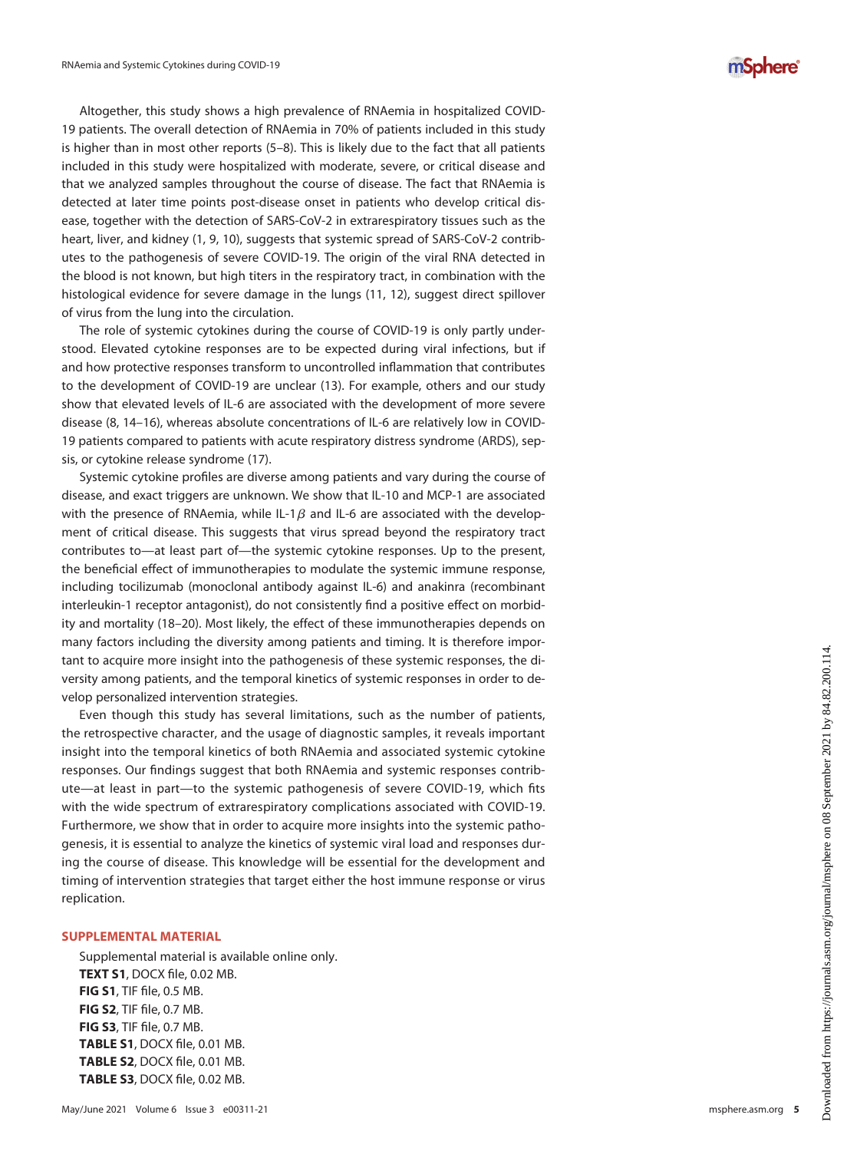Altogether, this study shows a high prevalence of RNAemia in hospitalized COVID-19 patients. The overall detection of RNAemia in 70% of patients included in this study is higher than in most other reports ([5](#page-5-4)–[8](#page-5-5)). This is likely due to the fact that all patients included in this study were hospitalized with moderate, severe, or critical disease and that we analyzed samples throughout the course of disease. The fact that RNAemia is detected at later time points post-disease onset in patients who develop critical disease, together with the detection of SARS-CoV-2 in extrarespiratory tissues such as the heart, liver, and kidney ([1](#page-5-0), [9](#page-5-6), [10\)](#page-5-7), suggests that systemic spread of SARS-CoV-2 contributes to the pathogenesis of severe COVID-19. The origin of the viral RNA detected in the blood is not known, but high titers in the respiratory tract, in combination with the histological evidence for severe damage in the lungs [\(11,](#page-5-8) [12\)](#page-5-9), suggest direct spillover of virus from the lung into the circulation.

The role of systemic cytokines during the course of COVID-19 is only partly understood. Elevated cytokine responses are to be expected during viral infections, but if and how protective responses transform to uncontrolled inflammation that contributes to the development of COVID-19 are unclear ([13\)](#page-5-10). For example, others and our study show that elevated levels of IL-6 are associated with the development of more severe disease ([8](#page-5-5), [14](#page-5-11)[–](#page-5-12)[16\)](#page-5-13), whereas absolute concentrations of IL-6 are relatively low in COVID-19 patients compared to patients with acute respiratory distress syndrome (ARDS), sepsis, or cytokine release syndrome [\(17](#page-5-14)).

Systemic cytokine profiles are diverse among patients and vary during the course of disease, and exact triggers are unknown. We show that IL-10 and MCP-1 are associated with the presence of RNAemia, while IL-1 $\beta$  and IL-6 are associated with the development of critical disease. This suggests that virus spread beyond the respiratory tract contributes to—at least part of—the systemic cytokine responses. Up to the present, the beneficial effect of immunotherapies to modulate the systemic immune response, including tocilizumab (monoclonal antibody against IL-6) and anakinra (recombinant interleukin-1 receptor antagonist), do not consistently find a positive effect on morbidity and mortality ([18](#page-5-15)[–](#page-6-0)[20\)](#page-6-1). Most likely, the effect of these immunotherapies depends on many factors including the diversity among patients and timing. It is therefore important to acquire more insight into the pathogenesis of these systemic responses, the diversity among patients, and the temporal kinetics of systemic responses in order to develop personalized intervention strategies.

Even though this study has several limitations, such as the number of patients, the retrospective character, and the usage of diagnostic samples, it reveals important insight into the temporal kinetics of both RNAemia and associated systemic cytokine responses. Our findings suggest that both RNAemia and systemic responses contribute—at least in part—to the systemic pathogenesis of severe COVID-19, which fits with the wide spectrum of extrarespiratory complications associated with COVID-19. Furthermore, we show that in order to acquire more insights into the systemic pathogenesis, it is essential to analyze the kinetics of systemic viral load and responses during the course of disease. This knowledge will be essential for the development and timing of intervention strategies that target either the host immune response or virus replication.

#### SUPPLEMENTAL MATERIAL

Supplemental material is available online only. TEXT S1, DOCX file, 0.02 MB. FIG S1, TIF file, 0.5 MB. FIG S2, TIF file, 0.7 MB. FIG S3, TIF file, 0.7 MB. TABLE S1, DOCX file, 0.01 MB. TABLE S2, DOCX file, 0.01 MB. TABLE S3, DOCX file, 0.02 MB.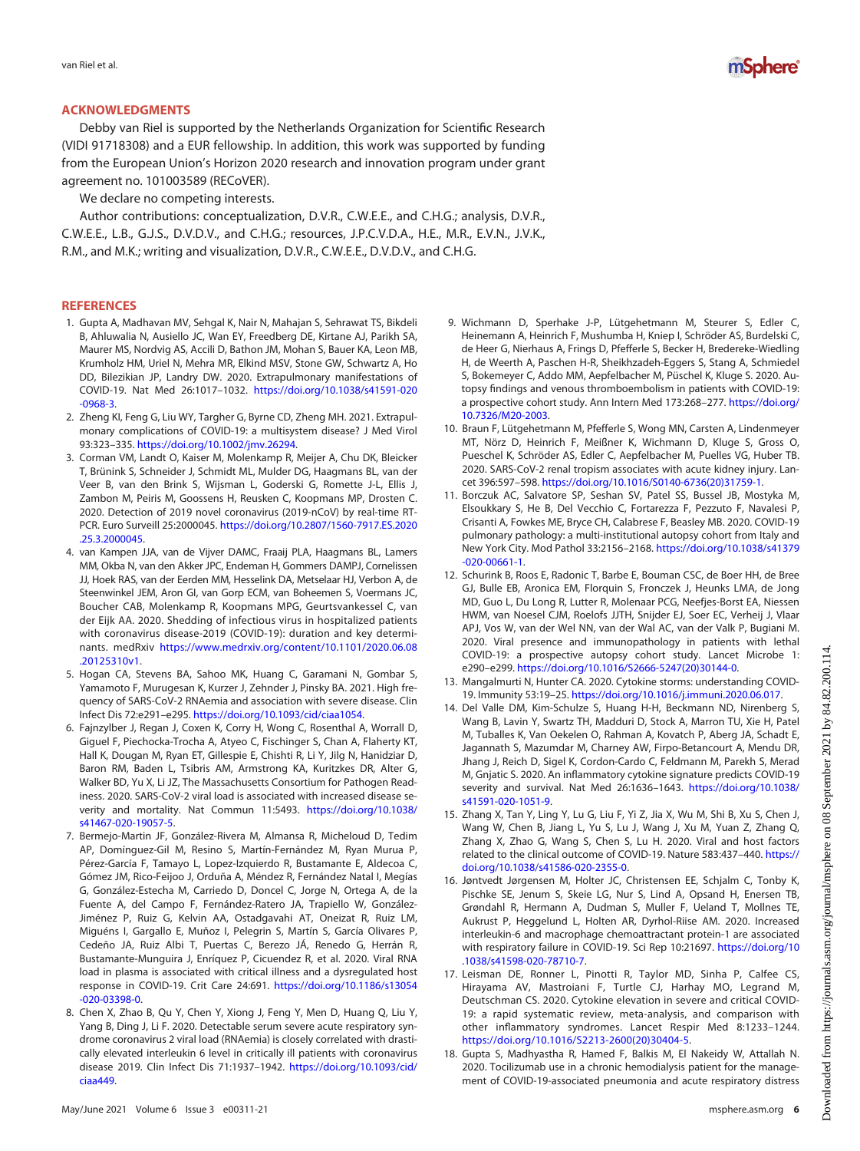

## ACKNOWLEDGMENTS

Debby van Riel is supported by the Netherlands Organization for Scientific Research (VIDI 91718308) and a EUR fellowship. In addition, this work was supported by funding from the European Union's Horizon 2020 research and innovation program under grant agreement no. 101003589 (RECoVER).

We declare no competing interests.

Author contributions: conceptualization, D.V.R., C.W.E.E., and C.H.G.; analysis, D.V.R., C.W.E.E., L.B., G.J.S., D.V.D.V., and C.H.G.; resources, J.P.C.V.D.A., H.E., M.R., E.V.N., J.V.K., R.M., and M.K.; writing and visualization, D.V.R., C.W.E.E., D.V.D.V., and C.H.G.

## **REFERENCES**

- <span id="page-5-0"></span>1. Gupta A, Madhavan MV, Sehgal K, Nair N, Mahajan S, Sehrawat TS, Bikdeli B, Ahluwalia N, Ausiello JC, Wan EY, Freedberg DE, Kirtane AJ, Parikh SA, Maurer MS, Nordvig AS, Accili D, Bathon JM, Mohan S, Bauer KA, Leon MB, Krumholz HM, Uriel N, Mehra MR, Elkind MSV, Stone GW, Schwartz A, Ho DD, Bilezikian JP, Landry DW. 2020. Extrapulmonary manifestations of COVID-19. Nat Med 26:1017–1032. [https://doi.org/10.1038/s41591-020](https://doi.org/10.1038/s41591-020-0968-3) [-0968-3.](https://doi.org/10.1038/s41591-020-0968-3)
- <span id="page-5-1"></span>2. Zheng KI, Feng G, Liu WY, Targher G, Byrne CD, Zheng MH. 2021. Extrapulmonary complications of COVID-19: a multisystem disease? J Med Virol 93:323-335. <https://doi.org/10.1002/jmv.26294>.
- <span id="page-5-2"></span>3. Corman VM, Landt O, Kaiser M, Molenkamp R, Meijer A, Chu DK, Bleicker T, Brünink S, Schneider J, Schmidt ML, Mulder DG, Haagmans BL, van der Veer B, van den Brink S, Wijsman L, Goderski G, Romette J-L, Ellis J, Zambon M, Peiris M, Goossens H, Reusken C, Koopmans MP, Drosten C. 2020. Detection of 2019 novel coronavirus (2019-nCoV) by real-time RT-PCR. Euro Surveill 25:2000045. [https://doi.org/10.2807/1560-7917.ES.2020](https://doi.org/10.2807/1560-7917.ES.2020.25.3.2000045) [.25.3.2000045](https://doi.org/10.2807/1560-7917.ES.2020.25.3.2000045).
- <span id="page-5-3"></span>4. van Kampen JJA, van de Vijver DAMC, Fraaij PLA, Haagmans BL, Lamers MM, Okba N, van den Akker JPC, Endeman H, Gommers DAMPJ, Cornelissen JJ, Hoek RAS, van der Eerden MM, Hesselink DA, Metselaar HJ, Verbon A, de Steenwinkel JEM, Aron GI, van Gorp ECM, van Boheemen S, Voermans JC, Boucher CAB, Molenkamp R, Koopmans MPG, Geurtsvankessel C, van der Eijk AA. 2020. Shedding of infectious virus in hospitalized patients with coronavirus disease-2019 (COVID-19): duration and key determinants. medRxiv [https://www.medrxiv.org/content/10.1101/2020.06.08](https://www.medrxiv.org/content/10.1101/2020.06.08.20125310v1) [.20125310v1](https://www.medrxiv.org/content/10.1101/2020.06.08.20125310v1).
- <span id="page-5-4"></span>5. Hogan CA, Stevens BA, Sahoo MK, Huang C, Garamani N, Gombar S, Yamamoto F, Murugesan K, Kurzer J, Zehnder J, Pinsky BA. 2021. High frequency of SARS-CoV-2 RNAemia and association with severe disease. Clin Infect Dis 72:e291–e295. [https://doi.org/10.1093/cid/ciaa1054.](https://doi.org/10.1093/cid/ciaa1054)
- 6. Fajnzylber J, Regan J, Coxen K, Corry H, Wong C, Rosenthal A, Worrall D, Giguel F, Piechocka-Trocha A, Atyeo C, Fischinger S, Chan A, Flaherty KT, Hall K, Dougan M, Ryan ET, Gillespie E, Chishti R, Li Y, Jilg N, Hanidziar D, Baron RM, Baden L, Tsibris AM, Armstrong KA, Kuritzkes DR, Alter G, Walker BD, Yu X, Li JZ, The Massachusetts Consortium for Pathogen Readiness. 2020. SARS-CoV-2 viral load is associated with increased disease severity and mortality. Nat Commun 11:5493. [https://doi.org/10.1038/](https://doi.org/10.1038/s41467-020-19057-5) [s41467-020-19057-5.](https://doi.org/10.1038/s41467-020-19057-5)
- 7. Bermejo-Martin JF, González-Rivera M, Almansa R, Micheloud D, Tedim AP, Domínguez-Gil M, Resino S, Martín-Fernández M, Ryan Murua P, Pérez-García F, Tamayo L, Lopez-Izquierdo R, Bustamante E, Aldecoa C, Gómez JM, Rico-Feijoo J, Orduña A, Méndez R, Fernández Natal I, Megías G, González-Estecha M, Carriedo D, Doncel C, Jorge N, Ortega A, de la Fuente A, del Campo F, Fernández-Ratero JA, Trapiello W, González-Jiménez P, Ruiz G, Kelvin AA, Ostadgavahi AT, Oneizat R, Ruiz LM, Miguéns I, Gargallo E, Muñoz I, Pelegrin S, Martín S, García Olivares P, Cedeño JA, Ruiz Albi T, Puertas C, Berezo JÁ, Renedo G, Herrán R, Bustamante-Munguira J, Enríquez P, Cicuendez R, et al. 2020. Viral RNA load in plasma is associated with critical illness and a dysregulated host response in COVID-19. Crit Care 24:691. [https://doi.org/10.1186/s13054](https://doi.org/10.1186/s13054-020-03398-0) [-020-03398-0.](https://doi.org/10.1186/s13054-020-03398-0)
- <span id="page-5-5"></span>8. Chen X, Zhao B, Qu Y, Chen Y, Xiong J, Feng Y, Men D, Huang Q, Liu Y, Yang B, Ding J, Li F. 2020. Detectable serum severe acute respiratory syndrome coronavirus 2 viral load (RNAemia) is closely correlated with drastically elevated interleukin 6 level in critically ill patients with coronavirus disease 2019. Clin Infect Dis 71:1937–1942. [https://doi.org/10.1093/cid/](https://doi.org/10.1093/cid/ciaa449) [ciaa449.](https://doi.org/10.1093/cid/ciaa449)
- <span id="page-5-6"></span>9. Wichmann D, Sperhake J-P, Lütgehetmann M, Steurer S, Edler C, Heinemann A, Heinrich F, Mushumba H, Kniep I, Schröder AS, Burdelski C, de Heer G, Nierhaus A, Frings D, Pfefferle S, Becker H, Bredereke-Wiedling H, de Weerth A, Paschen H-R, Sheikhzadeh-Eggers S, Stang A, Schmiedel S, Bokemeyer C, Addo MM, Aepfelbacher M, Püschel K, Kluge S. 2020. Autopsy findings and venous thromboembolism in patients with COVID-19: a prospective cohort study. Ann Intern Med 173:268–277. [https://doi.org/](https://doi.org/10.7326/M20-2003) [10.7326/M20-2003.](https://doi.org/10.7326/M20-2003)
- <span id="page-5-7"></span>10. Braun F, Lütgehetmann M, Pfefferle S, Wong MN, Carsten A, Lindenmeyer MT, Nörz D, Heinrich F, Meißner K, Wichmann D, Kluge S, Gross O, Pueschel K, Schröder AS, Edler C, Aepfelbacher M, Puelles VG, Huber TB. 2020. SARS-CoV-2 renal tropism associates with acute kidney injury. Lancet 396:597–598. [https://doi.org/10.1016/S0140-6736\(20\)31759-1](https://doi.org/10.1016/S0140-6736(20)31759-1).
- <span id="page-5-8"></span>11. Borczuk AC, Salvatore SP, Seshan SV, Patel SS, Bussel JB, Mostyka M, Elsoukkary S, He B, Del Vecchio C, Fortarezza F, Pezzuto F, Navalesi P, Crisanti A, Fowkes ME, Bryce CH, Calabrese F, Beasley MB. 2020. COVID-19 pulmonary pathology: a multi-institutional autopsy cohort from Italy and New York City. Mod Pathol 33:2156–2168. [https://doi.org/10.1038/s41379](https://doi.org/10.1038/s41379-020-00661-1) [-020-00661-1.](https://doi.org/10.1038/s41379-020-00661-1)
- <span id="page-5-9"></span>12. Schurink B, Roos E, Radonic T, Barbe E, Bouman CSC, de Boer HH, de Bree GJ, Bulle EB, Aronica EM, Florquin S, Fronczek J, Heunks LMA, de Jong MD, Guo L, Du Long R, Lutter R, Molenaar PCG, Neefjes-Borst EA, Niessen HWM, van Noesel CJM, Roelofs JJTH, Snijder EJ, Soer EC, Verheij J, Vlaar APJ, Vos W, van der Wel NN, van der Wal AC, van der Valk P, Bugiani M. 2020. Viral presence and immunopathology in patients with lethal COVID-19: a prospective autopsy cohort study. Lancet Microbe 1: e290–e299. [https://doi.org/10.1016/S2666-5247\(20\)30144-0](https://doi.org/10.1016/S2666-5247(20)30144-0).
- <span id="page-5-10"></span>13. Mangalmurti N, Hunter CA. 2020. Cytokine storms: understanding COVID-19. Immunity 53:19–25. <https://doi.org/10.1016/j.immuni.2020.06.017>.
- <span id="page-5-11"></span>14. Del Valle DM, Kim-Schulze S, Huang H-H, Beckmann ND, Nirenberg S, Wang B, Lavin Y, Swartz TH, Madduri D, Stock A, Marron TU, Xie H, Patel M, Tuballes K, Van Oekelen O, Rahman A, Kovatch P, Aberg JA, Schadt E, Jagannath S, Mazumdar M, Charney AW, Firpo-Betancourt A, Mendu DR, Jhang J, Reich D, Sigel K, Cordon-Cardo C, Feldmann M, Parekh S, Merad M, Gnjatic S. 2020. An inflammatory cytokine signature predicts COVID-19 severity and survival. Nat Med 26:1636–1643. [https://doi.org/10.1038/](https://doi.org/10.1038/s41591-020-1051-9) [s41591-020-1051-9](https://doi.org/10.1038/s41591-020-1051-9).
- <span id="page-5-12"></span>15. Zhang X, Tan Y, Ling Y, Lu G, Liu F, Yi Z, Jia X, Wu M, Shi B, Xu S, Chen J, Wang W, Chen B, Jiang L, Yu S, Lu J, Wang J, Xu M, Yuan Z, Zhang Q, Zhang X, Zhao G, Wang S, Chen S, Lu H. 2020. Viral and host factors related to the clinical outcome of COVID-19. Nature 583:437–440. [https://](https://doi.org/10.1038/s41586-020-2355-0) [doi.org/10.1038/s41586-020-2355-0.](https://doi.org/10.1038/s41586-020-2355-0)
- <span id="page-5-13"></span>16. Jøntvedt Jørgensen M, Holter JC, Christensen EE, Schjalm C, Tonby K, Pischke SE, Jenum S, Skeie LG, Nur S, Lind A, Opsand H, Enersen TB, Grøndahl R, Hermann A, Dudman S, Muller F, Ueland T, Mollnes TE, Aukrust P, Heggelund L, Holten AR, Dyrhol-Riise AM. 2020. Increased interleukin-6 and macrophage chemoattractant protein-1 are associated with respiratory failure in COVID-19. Sci Rep 10:21697. [https://doi.org/10](https://doi.org/10.1038/s41598-020-78710-7) [.1038/s41598-020-78710-7.](https://doi.org/10.1038/s41598-020-78710-7)
- <span id="page-5-14"></span>17. Leisman DE, Ronner L, Pinotti R, Taylor MD, Sinha P, Calfee CS, Hirayama AV, Mastroiani F, Turtle CJ, Harhay MO, Legrand M, Deutschman CS. 2020. Cytokine elevation in severe and critical COVID-19: a rapid systematic review, meta-analysis, and comparison with other inflammatory syndromes. Lancet Respir Med 8:1233–1244. [https://doi.org/10.1016/S2213-2600\(20\)30404-5.](https://doi.org/10.1016/S2213-2600(20)30404-5)
- <span id="page-5-15"></span>18. Gupta S, Madhyastha R, Hamed F, Balkis M, El Nakeidy W, Attallah N. 2020. Tocilizumab use in a chronic hemodialysis patient for the management of COVID-19-associated pneumonia and acute respiratory distress